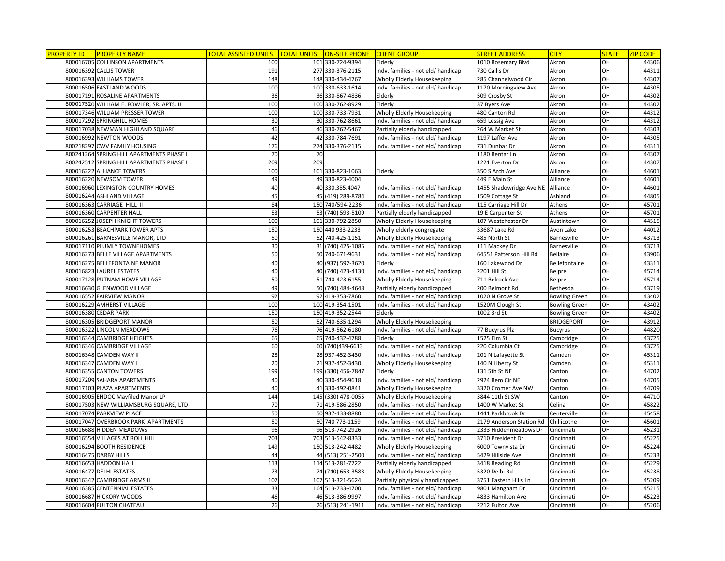| <b>PROPERTY ID</b> | <b>PROPERTY NAME</b>                      | <u> FOTAL ASSISTED UNITS </u> | <b>TOTAL UNITS</b> | ON-SITE PHONE CLIENT GROUP |                                    | <b>STREET ADDRESS</b>    | <b>CITY</b>          | <b>STATE</b>     | <b>ZIP CODE</b> |
|--------------------|-------------------------------------------|-------------------------------|--------------------|----------------------------|------------------------------------|--------------------------|----------------------|------------------|-----------------|
|                    | 800016705 COLLINSON APARTMENTS            | 100                           |                    | 101 330-724-9394           | Elderly                            | 1010 Rosemary Blvd       | Akron                | OH               | 44306           |
|                    | 800016392 CALLIS TOWER                    | 191                           |                    | 277 330-376-2115           | Indv. families - not eld/ handicap | 730 Callis Dr            | Akron                | OH               | 44311           |
|                    | 800016393 WILLIAMS TOWER                  | 148                           |                    | 148 330-434-4767           | Wholly Elderly Housekeeping        | 285 Channelwood Cir      | Akron                | OH               | 44307           |
|                    | 800016506 EASTLAND WOODS                  | 100                           |                    | 100 330-633-1614           | Indv. families - not eld/ handicap | 1170 Morningview Ave     | Akron                | OH               | 44305           |
|                    | 800017191 ROSALINE APARTMENTS             | 36                            |                    | 36 330-867-4836            | Elderly                            | 509 Crosby St            | Akron                | OH               | 44302           |
|                    | 800017520 WILLIAM E. FOWLER, SR. APTS. II | 100                           |                    | 100 330-762-8929           | Elderly                            | 37 Byers Ave             | Akron                | OH               | 44302           |
|                    | 800017346 WILLIAM PRESSER TOWER           | 100                           |                    | 100 330-733-7931           | Wholly Elderly Housekeeping        | 480 Canton Rd            | Akron                | OH               | 44312           |
|                    | 800017292 SPRINGHILL HOMES                | 30                            |                    | 30 330-762-8661            | Indv. families - not eld/ handicap | 659 Lessig Ave           | Akron                | OH               | 44312           |
|                    | 800017038 NEWMAN HIGHLAND SQUARE          | 46                            |                    | 46 330-762-5467            | Partially elderly handicapped      | 264 W Market St          | Akron                | OH               | 44303           |
|                    | 800016992 NEWTON WOODS                    | 42                            |                    | 42 330-784-7691            | Indv. families - not eld/ handicap | 1197 Laffer Ave          | Akron                | OH               | 44305           |
|                    | 800218297 CWV FAMILY HOUSING              | 176                           |                    | 274 330-376-2115           | Indv. families - not eld/ handicap | 731 Dunbar Dr            | Akron                | OH               | 44311           |
|                    | 800241264 SPRING HILL APARTMENTS PHASE I  | 70                            | 70                 |                            |                                    | 1180 Rentar Ln           | Akron                | OH               | 44307           |
|                    | 800242512 SPRING HILL APARTMENTS PHASE II | 209                           | 209                |                            |                                    | 1221 Everton Dr          | Akron                | OH               | 44307           |
|                    | 800016222 ALLIANCE TOWERS                 | 100                           |                    | 101 330-823-1063           | Elderly                            | 350 S Arch Ave           | Alliance             | $\overline{O}$ H | 44601           |
|                    | 800016220 NEWSOM TOWER                    | 49                            |                    | 49 330-823-4004            |                                    | 449 E Main St            | Alliance             | OH               | 44601           |
|                    | 800016960 LEXINGTON COUNTRY HOMES         | 40                            |                    | 40 330 385 4047            | Indv. families - not eld/ handicap | 1455 Shadowridge Ave NE  | Alliance             | OH               | 44601           |
|                    | 800016244 ASHLAND VILLAGE                 | 45                            |                    | 45 (419) 289-8784          | Indv. families - not eld/ handicap | 1509 Cottage St          | Ashland              | OH               | 44805           |
|                    | 800016363 CARRIAGE HILL II                | 84                            |                    | 150 740/594-2236           | Indv. families - not eld/ handicap | 115 Carriage Hill Dr     | Athens               | OH               | 45701           |
|                    | 800016360 CARPENTER HALL                  | 53                            |                    | 53 (740) 593-5109          | Partially elderly handicapped      | 19 E Carpenter St        | Athens               | OH               | 45701           |
|                    | 800016252 JOSEPH KNIGHT TOWERS            | 100                           |                    | 101 330-792-2850           | Wholly Elderly Housekeeping        | 107 Westchester Dr       | Austintown           | OH               | 44515           |
|                    | 800016253 BEACHPARK TOWER APTS            | 150                           |                    | 150 440 933-2233           | Wholly elderly congregate          | 33687 Lake Rd            | Avon Lake            | OH               | 44012           |
|                    | 800016261 BARNESVILLE MANOR, LTD          | 50                            |                    | 52 740-425-1151            | Wholly Elderly Housekeeping        | 485 North St             | Barnesville          | OH               | 43713           |
|                    | 800017110 PLUMLY TOWNEHOMES               | 30                            |                    | 31 (740) 425-1085          | Indv. families - not eld/ handicap | 111 Mackey Dr            | Barnesville          | OH               | 43713           |
|                    | 800016273 BELLE VILLAGE APARTMENTS        | 50                            |                    | 50 740-671-9631            | Indv. families - not eld/ handicap | 64551 Patterson Hill Rd  | Bellaire             | OH               | 43906           |
|                    | 800016275 BELLEFONTAINE MANOR             | 40                            |                    | 40 (937) 592-3620          | Elderly                            | 160 Lakewood Dr          | Bellefontaine        | OH               | 43311           |
|                    | 800016823 LAUREL ESTATES                  | 40                            |                    | 40 (740) 423-4130          | Indv. families - not eld/ handicap | 2201 Hill St             | Belpre               | OH               | 45714           |
|                    | 800017128 PUTNAM HOWE VILLAGE             | 50                            |                    | 51 740-423-6155            | Wholly Elderly Housekeeping        | 711 Belrock Ave          | Belpre               | $\overline{O}$ H | 45714           |
|                    | 800016630 GLENWOOD VILLAGE                | 49                            |                    | 50 (740) 484-4648          | Partially elderly handicapped      | 200 Belmont Rd           | Bethesda             | OH               | 43719           |
|                    | 800016552 FAIRVIEW MANOR                  | 92                            |                    | 92 419-353-7860            | Indv. families - not eld/ handicap | 1020 N Grove St          | <b>Bowling Green</b> | OH               | 43402           |
|                    | 800016229 AMHERST VILLAGE                 | 100                           |                    | 100 419-354-1501           | Indv. families - not eld/ handicap | 1520M Clough St          | <b>Bowling Green</b> | OH               | 43402           |
|                    | 800016380 CEDAR PARK                      | 150                           |                    | 150 419-352-2544           | Elderly                            | 1002 3rd St              | <b>Bowling Green</b> | OH               | 43402           |
|                    | 800016305 BRIDGEPORT MANOR                | 50                            |                    | 52 740-635-1294            | Wholly Elderly Housekeeping        |                          | <b>BRIDGEPORT</b>    | OH               | 43912           |
|                    | 800016322 LINCOLN MEADOWS                 | 76                            |                    | 76 419-562-6180            | Indv. families - not eld/ handicap | 77 Bucyrus Plz           | <b>Bucyrus</b>       | OH               | 44820           |
|                    | 800016344 CAMBRIDGE HEIGHTS               | 65                            |                    | 65 740-432-4788            | Elderly                            | 1525 Elm St              | Cambridge            | OH               | 43725           |
|                    | 800016346 CAMBRIDGE VILLAGE               | 60                            |                    | 60 (740) 439-6613          | Indv. families - not eld/ handicap | 220 Columbia Ct          | Cambridge            | OH               | 43725           |
|                    | 800016348 CAMDEN WAY II                   | 28                            |                    | 28 937-452-3430            | Indv. families - not eld/ handicap | 201 N Lafayette St       | Camden               | OH               | 45311           |
|                    | 800016347 CAMDEN WAY I                    | 20                            |                    | 21 937-452-3430            | Wholly Elderly Housekeeping        | 140 N Liberty St         | Camden               | OH               | 45311           |
|                    | 800016355 CANTON TOWERS                   | 199                           |                    | 199 (330) 456-7847         | Elderly                            | 131 5th St NE            | Canton               | OH               | 44702           |
|                    | 800017209 SAHARA APARTMENTS               | 40                            |                    | 40 330-454-9618            | Indv. families - not eld/ handicap | 2924 Rem Cir NE          | Canton               | OH               | 44705           |
|                    | 800017103 PLAZA APARTMENTS                | 40                            |                    | 41 330-492-0841            | Wholly Elderly Housekeeping        | 3320 Cromer Ave NW       | Canton               | OH               | 44709           |
|                    | 800016905 EHDOC Mayfiled Manor LP         | 144                           |                    | 145 (330) 478-0055         | Wholly Elderly Housekeeping        | 3844 11th St SW          | Canton               | OH               | 44710           |
|                    | 800017503 NEW WILLIAMSBURG SQUARE, LTD    | 70                            |                    | 71 419-586-2850            | Indv. families - not eld/ handicap | 1400 W Market St         | Celina               | OH               | 45822           |
|                    | 800017074 PARKVIEW PLACE                  | 50                            |                    | 50 937-433-8880            | Indv. families - not eld/ handicap | 1441 Parkbrook Dr        | Centerville          | OH               | 45458           |
|                    | 800017047 OVERBROOK PARK APARTMENTS       | 50                            |                    | 50 740 773-1159            | Indv. families - not eld/ handicap | 2179 Anderson Station Rd | Chillicothe          | OH               | 45601           |
|                    | 800016688 HIDDEN MEADOWS                  | 96                            |                    | 96 513-742-2926            | Indv. families - not eld/ handicap | 2333 Hiddenmeadows Dr    | Cincinnati           | OH               | 45231           |
|                    | 800016554 VILLAGES AT ROLL HILL           | 703                           |                    | 703 513-542-8333           | Indv. families - not eld/ handicap | 3710 President Dr        | Cincinnati           | OH               | 45225           |
|                    | 800016294 BOOTH RESIDENCE                 | 149                           |                    | 150 513-242-4482           | Wholly Elderly Housekeeping        | 6000 Townvista Dr        | Cincinnati           | OH               | 45224           |
|                    | 800016475 DARBY HILLS                     | 44                            |                    | 44 (513) 251-2500          | Indv. families - not eld/ handicap | 5429 Hillside Ave        | Cincinnati           | OH               | 45233           |
|                    | 800016653 HADDON HALL                     | 113                           |                    | 114 513-281-7722           | Partially elderly handicapped      | 3418 Reading Rd          | Cincinnati           | OH               | 45229           |
|                    | 800016477 DELHI ESTATES                   | 73                            |                    | 74 (740) 653-3583          | Wholly Elderly Housekeeping        | 5320 Delhi Rd            | Cincinnati           | OH               | 45238           |
|                    | 800016342 CAMBRIDGE ARMS II               | 107                           |                    | 107 513-321-5624           | Partially physically handicapped   | 3751 Eastern Hills Ln    | Cincinnati           | OH               | 45209           |
|                    | 800016385 CENTENNIAL ESTATES              | 33                            |                    | 164 513-733-4700           | Indv. families - not eld/ handicap | 9801 Mangham Dr          | Cincinnati           | OH               | 45215           |
|                    | 800016687 HICKORY WOODS                   | 46                            |                    | 46 513-386-9997            | Indv. families - not eld/ handicap | 4833 Hamilton Ave        | Cincinnati           | OH               | 45223           |
|                    | 800016604 FULTON CHATEAU                  | 26                            |                    | 26 (513) 241-1911          | Indv. families - not eld/ handicap | 2212 Fulton Ave          | Cincinnati           | OH               | 45206           |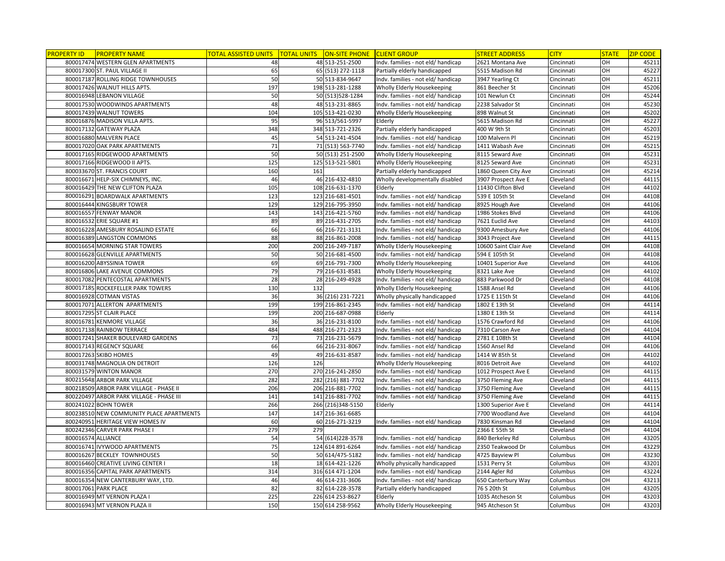| <b>PROPERTY ID</b> | <b>PROPERTY NAME</b>                     | <u>TOTAL ASSISTED UNITS </u> | <b>TOTAL UNITS</b> | ON-SITE PHONE CLIENT GROUP |                                    | <b>STREET ADDRESS</b> | <b>CITY</b> | <b>STATE</b> | <b>ZIP CODE</b> |
|--------------------|------------------------------------------|------------------------------|--------------------|----------------------------|------------------------------------|-----------------------|-------------|--------------|-----------------|
|                    | 800017474 WESTERN GLEN APARTMENTS        | 48                           |                    | 48 513-251-2500            | Indv. families - not eld/ handicap | 2621 Montana Ave      | Cincinnati  | OH           | 45211           |
|                    | 800017300 ST. PAUL VILLAGE II            | 65                           |                    | 65 (513) 272-1118          | Partially elderly handicapped      | 5515 Madison Rd       | Cincinnati  | OH           | 45227           |
|                    | 800017187 ROLLING RIDGE TOWNHOUSES       | 50                           |                    | 50 513-834-9647            | Indv. families - not eld/ handicap | 3947 Yearling Ct      | Cincinnati  | OH           | 45211           |
|                    | 800017426 WALNUT HILLS APTS.             | 197                          |                    | 198 513-281-1288           | Wholly Elderly Housekeeping        | 861 Beecher St        | Cincinnati  | OH           | 45206           |
|                    | 800016948 LEBANON VILLAGE                | 50                           |                    | 50 (513) 528-1284          | Indv. families - not eld/ handicap | 101 Newlun Ct         | Cincinnati  | OH           | 45244           |
|                    | 800017530 WOODWINDS APARTMENTS           | 48                           |                    | 48 513-231-8865            | Indv. families - not eld/ handicap | 2238 Salvador St      | Cincinnati  | OH           | 45230           |
|                    | 800017439 WALNUT TOWERS                  | 104                          |                    | 105 513-421-0230           | Wholly Elderly Housekeeping        | 898 Walnut St         | Cincinnati  | OH           | 45202           |
|                    | 800016876 MADISON VILLA APTS.            | 95                           |                    | 96 513/561-5997            | Elderly                            | 5615 Madison Rd       | Cincinnati  | OН           | 45227           |
|                    | 800017132 GATEWAY PLAZA                  | 348                          |                    | 348 513-721-2326           | Partially elderly handicapped      | 400 W 9th St          | Cincinnati  | OН           | 45203           |
|                    | 800016880 MALVERN PLACE                  | 45                           |                    | 54 513-241-4504            | Indv. families - not eld/ handicap | 100 Malvern Pl        | Cincinnati  | OH           | 45219           |
|                    | 800017020 OAK PARK APARTMENTS            | 71                           |                    | 71 (513) 563-7740          | Indv. families - not eld/ handicap | 1411 Wabash Ave       | Cincinnati  |              | 45215           |
|                    | 800017165 RIDGEWOOD APARTMENTS           | 50                           |                    | 50 (513) 251-2500          | Wholly Elderly Housekeeping        | 8115 Seward Ave       | Cincinnati  | OH           | 45231           |
|                    | 800017166 RIDGEWOOD II APTS.             | 125                          |                    | 125 513-521-5801           | Wholly Elderly Housekeeping        | 8125 Seward Ave       | Cincinnati  | OH           | 45231           |
|                    | 800033670 ST. FRANCIS COURT              | 160                          | 161                |                            | Partially elderly handicapped      | 1860 Queen City Ave   | Cincinnati  | OH           | 45214           |
|                    | 800016671 HELP-SIX CHIMNEYS, INC.        | 46                           |                    | 46 216-432-4810            | Wholly developmentally disabled    | 3907 Prospect Ave E   | Cleveland   | OH           | 44115           |
|                    | 800016429 THE NEW CLIFTON PLAZA          | 105                          |                    | 108 216-631-1370           | Elderly                            | 11430 Clifton Blvd    | Cleveland   | OH           | 44102           |
|                    | 800016291 BOARDWALK APARTMENTS           | 123                          |                    | 123 216-681-4501           | Indv. families - not eld/ handicap | 539 E 105th St        | Cleveland   | OH           | 44108           |
|                    | 800016444 KINGSBURY TOWER                | 129                          |                    | 129 216-795-3950           | Indv. families - not eld/ handicap | 8925 Hough Ave        | Cleveland   | OH           | 44106           |
|                    | 800016557 FENWAY MANOR                   | 143                          |                    | 143 216-421-5760           | Indv. families - not eld/ handicap | 1986 Stokes Blvd      | Cleveland   | OH           | 44106           |
|                    | 800016532 ERIE SQUARE #1                 | 89                           |                    | 89 216-431-2705            | Indv. families - not eld/ handicap | 7621 Euclid Ave       | Cleveland   | OH           | 44103           |
|                    | 800016228 AMESBURY ROSALIND ESTATE       | 66                           |                    | 66 216-721-3131            | Indv. families - not eld/ handicap | 9300 Amesbury Ave     | Cleveland   | OH           | 44106           |
|                    | 800016389 LANGSTON COMMONS               | 88                           |                    | 88 216-861-2008            | Indv. families - not eld/ handicap | 3043 Project Ave      | Cleveland   | OH           | 44115           |
|                    | 800016654 MORNING STAR TOWERS            | 200                          |                    | 200 216-249-7187           | Wholly Elderly Housekeeping        | 10600 Saint Clair Ave | Cleveland   | OH           | 44108           |
|                    | 800016628 GLENVILLE APARTMENTS           | 50                           |                    | 50 216-681-4500            | Indv. families - not eld/ handicap | 594 E 105th St        | Cleveland   | OH           | 44108           |
|                    | 800016200 ABYSSINIA TOWER                | 69                           |                    | 69 216-791-7300            | Wholly Elderly Housekeeping        | 10401 Superior Ave    | Cleveland   | OH           | 44106           |
|                    | 800016806 LAKE AVENUE COMMONS            | 79                           |                    | 79 216-631-8581            | Wholly Elderly Housekeeping        | 8321 Lake Ave         | Cleveland   | OH           | 44102           |
|                    | 800017082 PENTECOSTAL APARTMENTS         | 28                           |                    | 28 216-249-4928            | Indv. families - not eld/ handicap | 883 Parkwood Dr       | Cleveland   | OH           | 44108           |
|                    | 800017185 ROCKEFELLER PARK TOWERS        | 130                          | 132                |                            | Wholly Elderly Housekeeping        | 1588 Ansel Rd         | Cleveland   | OH           | 44106           |
|                    | 800016928 COTMAN VISTAS                  | 36                           |                    | 36 (216) 231-7221          | Wholly physically handicapped      | 1725 E 115th St       | Cleveland   | OH           | 44106           |
|                    | 800017071 ALLERTON APARTMENTS            | 199                          |                    | 199 216-861-2345           | Indv. families - not eld/ handicap | 1802 E 13th St        | Cleveland   | OH           | 44114           |
|                    | 800017295 ST CLAIR PLACE                 | 199                          |                    | 200 216-687-0988           | Elderly                            | 1380 E 13th St        | Cleveland   | OH           | 44114           |
|                    | 800016781 KENMORE VILLAGE                | 36                           |                    | 36 216-231-8100            | ndv. families - not eld/ handicap  | 1576 Crawford Rd      | Cleveland   | OH           | 44106           |
|                    | 800017138 RAINBOW TERRACE                | 484                          |                    | 488 216-271-2323           | Indv. families - not eld/ handicap | 7310 Carson Ave       | Cleveland   | OH           | 44104           |
|                    | 800017241 SHAKER BOULEVARD GARDENS       | 73                           |                    | 73 216-231-5679            | Indv. families - not eld/ handicap | 2781 E 108th St       | Cleveland   | OН           | 44104           |
|                    | 800017143 REGENCY SQUARE                 | 66                           |                    | 66 216-231-8067            | Indv. families - not eld/ handicap | 1560 Ansel Rd         | Cleveland   | OH           | 44106           |
|                    | 800017263 SKIBO HOMES                    | 49                           |                    | 49 216-631-8587            | Indv. families - not eld/ handicap | 1414 W 85th St        | Cleveland   | OH           | 44102           |
|                    | 800031748 MAGNOLIA ON DETROIT            | 126                          | 126                |                            | Wholly Elderly Housekeeping        | 8016 Detroit Ave      | Cleveland   | OH           | 44102           |
|                    | 800031579 WINTON MANOR                   | 270                          |                    | 270 216-241-2850           | Indv. families - not eld/ handicap | 1012 Prospect Ave E   | Cleveland   | OH           | 44115           |
|                    | 800215648 ARBOR PARK VILLAGE             | 282                          |                    | 282 (216) 881-7702         | Indv. families - not eld/ handicap | 3750 Fleming Ave      | Cleveland   | OH           | 44115           |
|                    | 800218509 ARBOR PARK VILLAGE - PHASE II  | 206                          |                    | 206 216-881-7702           | Indv. families - not eld/ handicap | 3750 Fleming Ave      | Cleveland   | OH           | 44115           |
|                    | 800220497 ARBOR PARK VILLAGE - PHASE III | 141                          |                    | 141 216-881-7702           | Indv. families - not eld/ handicap | 3750 Fleming Ave      | Cleveland   | OH           | 44115           |
|                    | 800241022 BOHN TOWER                     | 266                          |                    | 266 (216) 348-5150         | Elderly                            | 1300 Superior Ave E   | Cleveland   | OH           | 44114           |
|                    | 800238510 NEW COMMUNITY PLACE APARTMENTS | 147                          |                    | 147 216-361-6685           |                                    | 7700 Woodland Ave     | Cleveland   | OH           | 44104           |
|                    | 800240951 HERITAGE VIEW HOMES IV         | 60                           |                    | 60 216-271-3219            | Indv. families - not eld/ handicap | 7830 Kinsman Rd       | Cleveland   | OH           | 44104           |
|                    | 800242346 CARVER PARK PHASE I            | 279                          | 279                |                            |                                    | 2366 E 55th St        | Cleveland   | OH           | 44104           |
| 800016574 ALLIANCE |                                          | 54                           |                    | 54 (614) 228-3578          | Indv. families - not eld/ handicap | 840 Berkeley Rd       | Columbus    | OH           | 43205           |
|                    | 800016741 IVYWOOD APARTMENTS             | 75                           |                    | 124 614 891-6264           | Indv. families - not eld/ handicap | 2350 Teakwood Dr      | Columbus    | OH           | 43229           |
|                    | 800016267 BECKLEY TOWNHOUSES             | 50                           |                    | 50 614/475-5182            | Indv. families - not eld/ handicap | 4725 Bayview Pl       | Columbus    | OH           | 43230           |
|                    | 800016460 CREATIVE LIVING CENTER I       | 18                           |                    | 18 614-421-1226            | Wholly physically handicapped      | 1531 Perry St         | Columbus    | OH           | 43201           |
|                    | 800016356 CAPITAL PARK APARTMENTS        | 314                          |                    | 316 614 471-1204           | Indv. families - not eld/ handicap | 2144 Agler Rd         | Columbus    | OH           | 43224           |
|                    | 800016354 NEW CANTERBURY WAY, LTD.       | 46                           |                    | 46 614-231-3606            | Indv. families - not eld/ handicap | 650 Canterbury Way    | Columbus    | OН           | 43213           |
|                    | 800017061 PARK PLACE                     | 82                           |                    | 82 614-228-3578            | Partially elderly handicapped      | 76 S 20th St          | Columbus    | OH           | 43205           |
|                    | 800016949 MT VERNON PLAZA I              | 225                          |                    | 226 614 253-8627           | Elderly                            | 1035 Atcheson St      | Columbus    | OH           | 43203           |
|                    | 800016943 MT VERNON PLAZA II             | 150                          |                    | 150 614 258-9562           | Wholly Elderly Housekeeping        | 945 Atcheson St       | Columbus    | OH           | 43203           |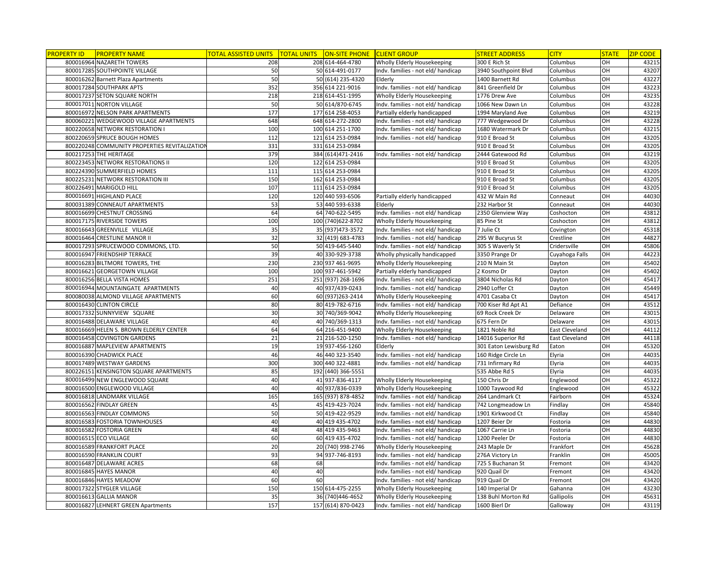| <b>PROPERTY ID</b> | <b>PROPERTY NAME</b>                          | TOTAL ASSISTED UNITS | <b>TOTAL UNITS</b> | ON-SITE PHONE CLIENT GROUP |                                    | <b>STREET ADDRESS</b>  | <b>CITY</b>           | <b>STATE</b>     | <b>ZIP CODE</b> |
|--------------------|-----------------------------------------------|----------------------|--------------------|----------------------------|------------------------------------|------------------------|-----------------------|------------------|-----------------|
|                    | 800016964 NAZARETH TOWERS                     | 208                  |                    | 208 614-464-4780           | Wholly Elderly Housekeeping        | 300 E Rich St          | Columbus              | OH               | 43215           |
|                    | 800017285 SOUTHPOINTE VILLAGE                 | 50                   |                    | 50 614-491-0177            | Indv. families - not eld/ handicap | 3940 Southpoint Blvd   | Columbus              | OH               | 43207           |
|                    | 800016262 Barnett Plaza Apartments            | 50                   |                    | 50 (614) 235-4320          | Elderly                            | 1400 Barnett Rd        | Columbus              | OH               | 43227           |
|                    | 800017284 SOUTHPARK APTS                      | 352                  |                    | 356 614 221-9016           | Indv. families - not eld/ handicap | 841 Greenfield Dr      | Columbus              | OH               | 43223           |
|                    | 800017237 SETON SQUARE NORTH                  | 218                  |                    | 218 614-451-1995           | Wholly Elderly Housekeeping        | 1776 Drew Ave          | Columbus              | OH               | 43235           |
|                    | 800017011 NORTON VILLAGE                      | 50                   |                    | 50 614/870-6745            | Indv. families - not eld/ handicap | 1066 New Dawn Ln       | Columbus              | OH               | 43228           |
|                    | 800016972 NELSON PARK APARTMENTS              | 177                  |                    | 177 614 258-4053           | Partially elderly handicapped      | 1994 Maryland Ave      | Columbus              | OH               | 43219           |
|                    | 800060221 WEDGEWOOD VILLAGE APARTMENTS        | 648                  |                    | 648 614-272-2800           | Indv. families - not eld/ handicap | 777 Wedgewood Dr       | Columbus              | OН               | 43228           |
|                    | 800220658 NETWORK RESTORATION                 | 100                  |                    | 100 614 251-1700           | Indv. families - not eld/ handicap | 1680 Watermark Dr      | Columbus              | OН               | 43215           |
|                    | 800220659 SPRUCE BOUGH HOMES                  | 112                  |                    | 121 614 253-0984           | Indv. families - not eld/ handicap | 910 E Broad St         | Columbus              | OH               | 43205           |
|                    | 800220248 COMMUNITY PROPERTIES REVITALIZATION | 331                  |                    | 331 614 253-0984           |                                    | 910 E Broad St         | Columbus              | $\overline{O}$ H | 43205           |
|                    | 800217253 THE HERITAGE                        | 379                  |                    | 384 (614) 471-2416         | Indv. families - not eld/ handicap | 2444 Gatewood Rd       | Columbus              | OH               | 43219           |
|                    | 800223453 NETWORK RESTORATIONS II             | 120                  |                    | 122 614 253-0984           |                                    | 910 E Broad St         | Columbus              | OH               | 43205           |
|                    | 800224390 SUMMERFIELD HOMES                   | 111                  |                    | 115 614 253-0984           |                                    | 910 E Broad St         | Columbus              | OH               | 43205           |
|                    | 800225231 NETWORK RESTORATION III             | 150                  |                    | 162 614 253-0984           |                                    | 910 E Broad St         | Columbus              | OH               | 43205           |
|                    | 800226491 MARIGOLD HILL                       | 107                  |                    | 111 614 253-0984           |                                    | 910 E Broad St         | Columbus              | OH               | 43205           |
|                    | 800016691 HIGHLAND PLACE                      | 120                  |                    | 120 440 593-6506           | Partially elderly handicapped      | 432 W Main Rd          | Conneaut              | OH               | 44030           |
|                    | 800031389 CONNEAUT APARTMENTS                 | 53                   |                    | 53 440 593-6338            | Elderly                            | 232 Harbor St          | Conneaut              | OH               | 44030           |
|                    | 800016699 CHESTNUT CROSSING                   | 64                   |                    | 64 740-622-5495            | Indv. families - not eld/ handicap | 2350 Glenview Way      | Coshocton             | OH               | 43812           |
|                    | 800017175 RIVERSIDE TOWERS                    | 100                  |                    | 100 (740) 622-8702         | Wholly Elderly Housekeeping        | 85 Pine St             | Coshocton             | OH               | 43812           |
|                    | 800016643 GREENVILLE VILLAGE                  | 35                   |                    | 35 (937) 473-3572          | Indv. families - not eld/ handicap | 7 Julie Ct             | Covington             | OH               | 45318           |
|                    | 800016464 CRESTLINE MANOR II                  | 32                   |                    | 32 (419) 683-4783          | Indv. families - not eld/ handicap | 295 W Bucyrus St       | Crestline             | OН               | 44827           |
|                    | 800017293 SPRUCEWOOD COMMONS, LTD.            | 50                   |                    | 50 419-645-5440            | Indv. families - not eld/ handicap | 305 S Waverly St       | Cridersville          | OH               | 45806           |
|                    | 800016947 FRIENDSHIP TERRACE                  | 39                   |                    | 40 330-929-3738            | Wholly physically handicapped      | 3350 Prange Dr         | Cuyahoga Falls        | OH               | 44223           |
|                    | 800016283 BILTMORE TOWERS, THE                | 230                  |                    | 230 937 461-9695           | Wholly Elderly Housekeeping        | 210 N Main St          | Dayton                | OH               | 45402           |
|                    | 800016621 GEORGETOWN VILLAGE                  | 100                  |                    | 100 937-461-5942           | Partially elderly handicapped      | 2 Kosmo Dr             | Dayton                | OH               | 45402           |
|                    | 800016256 BELLA VISTA HOMES                   | 251                  |                    | 251 (937) 268-1696         | Indv. families - not eld/ handicap | 3804 Nicholas Rd       | Dayton                | OH               | 45417           |
|                    | 800016944 MOUNTAINGATE APARTMENTS             | 40                   |                    | 40 937/439-0243            | Indv. families - not eld/ handicap | 2940 Loffer Ct         | Dayton                | OH               | 45449           |
|                    | 800080038 ALMOND VILLAGE APARTMENTS           | 60                   |                    | 60 (937) 263-2414          | Wholly Elderly Housekeeping        | 4701 Casaba Ct         | Dayton                | OH               | 45417           |
|                    | 800016430 CLINTON CIRCLE                      | 80                   |                    | 80 419-782-6716            | Indv. families - not eld/ handicap | 700 Kiser Rd Apt A1    | Defiance              | OH               | 43512           |
|                    | 800017332 SUNNYVIEW SQUARE                    | 30                   |                    | 30 740/369-9042            | Wholly Elderly Housekeeping        | 69 Rock Creek Dr       | Delaware              | OH               | 43015           |
|                    | 800016488 DELAWARE VILLAGE                    | 40                   |                    | 40 740/369-1313            | Indv. families - not eld/ handicap | 675 Fern Dr            | Delaware              | OH               | 43015           |
|                    | 800016669 HELEN S. BROWN ELDERLY CENTER       | 64                   |                    | 64 216-451-9400            | Wholly Elderly Housekeeping        | 1821 Noble Rd          | <b>East Cleveland</b> | OH               | 44112           |
|                    | 800016458 COVINGTON GARDENS                   | 21                   |                    | 21 216-520-1250            | Indv. families - not eld/ handicap | 14016 Superior Rd      | East Cleveland        | OН               | 44118           |
|                    | 800016887 MAPLEVIEW APARTMENTS                | 19                   |                    | 19 937-456-1260            | Elderly                            | 301 Eaton Lewisburg Rd | Eaton                 | OH               | 45320           |
|                    | 800016390 CHADWICK PLACE                      | 46                   |                    | 46 440 323-3540            | Indv. families - not eld/ handicap | 160 Ridge Circle Ln    | Elyria                | $\overline{a}$   | 44035           |
|                    | 800017489 WESTWAY GARDENS                     | 300                  |                    | 300 440 322-4881           | Indv. families - not eld/ handicap | 731 Infirmary Rd       | Elyria                | OH               | 44035           |
|                    | 800226151 KENSINGTON SQUARE APARTMENTS        | 85                   |                    | 192 (440) 366-5551         |                                    | 535 Abbe Rd S          | Elyria                | OH               | 44035           |
|                    | 800016499 NEW ENGLEWOOD SQUARE                | 40                   |                    | 41 937-836-4117            | Wholly Elderly Housekeeping        | 150 Chris Dr           | Englewood             | OH               | 45322           |
|                    | 800016500 ENGLEWOOD VILLAGE                   | 40                   |                    | 40 937/836-0339            | Wholly Elderly Housekeeping        | 1000 Taywood Rd        | Englewood             | OH               | 45322           |
|                    | 800016818 LANDMARK VILLAGE                    | 165                  |                    | 165 (937) 878-4852         | Indv. families - not eld/ handicap | 264 Landmark Ct        | Fairborn              | OH               | 45324           |
|                    | 800016562 FINDLAY GREEN                       | 45                   |                    | 45 419-423-7024            | Indv. families - not eld/ handicap | 742 Longmeadow Ln      | Findlay               | OH               | 45840           |
|                    | 800016563 FINDLAY COMMONS                     | 50                   |                    | 50 419-422-9529            | Indv. families - not eld/ handicap | 1901 Kirkwood Ct       | Findlay               | OH               | 45840           |
|                    | 800016583 FOSTORIA TOWNHOUSES                 | 40                   |                    | 40 419 435-4702            | Indv. families - not eld/ handicap | 1207 Beier Dr          | Fostoria              | OH               | 44830           |
|                    | 800016582 FOSTORIA GREEN                      | 48                   |                    | 48 419 435-9463            | Indv. families - not eld/ handicap | 1067 Carrie Ln         | Fostoria              | OH               | 44830           |
|                    | 800016515 ECO VILLAGE                         | 60                   |                    | 60 419 435-4702            | Indv. families - not eld/ handicap | 1200 Peeler Dr         | Fostoria              | OH               | 44830           |
|                    | 800016589 FRANKFORT PLACE                     | 20                   |                    | 20 (740) 998-2746          | Wholly Elderly Housekeeping        | 243 Maple Dr           | Frankfort             | OH               | 45628           |
|                    | 800016590 FRANKLIN COURT                      | 93                   |                    | 94 937-746-8193            | Indv. families - not eld/ handicap | 276A Victory Ln        | Franklin              | OH               | 45005           |
|                    | 800016487 DELAWARE ACRES                      | 68                   | 68                 |                            | Indv. families - not eld/ handicap | 725 S Buchanan St      | Fremont               | OH               | 43420           |
|                    | 800016845 HAYES MANOR                         | 40                   | 40                 |                            | Indv. families - not eld/ handicap | 920 Quail Dr           | Fremont               | OH               | 43420           |
|                    | 800016846 HAYES MEADOW                        | 60                   | 60                 |                            | Indv. families - not eld/ handicap | 919 Quail Dr           | Fremont               | OН               | 43420           |
|                    | 800017322 STYGLER VILLAGE                     | 150                  |                    | 150 614-475-2255           | Wholly Elderly Housekeeping        | 140 Imperial Dr        | Gahanna               | OH               | 43230           |
|                    | 800016613 GALLIA MANOR                        | 35                   |                    | 36 (740) 446-4652          | Wholly Elderly Housekeeping        | 138 Buhl Morton Rd     | Gallipolis            | OH               | 45631           |
|                    | 800016827 LEHNERT GREEN Apartments            | 157                  |                    | 157 (614) 870-0423         | Indv. families - not eld/ handicap | 1600 Bierl Dr          | Galloway              | OH               | 43119           |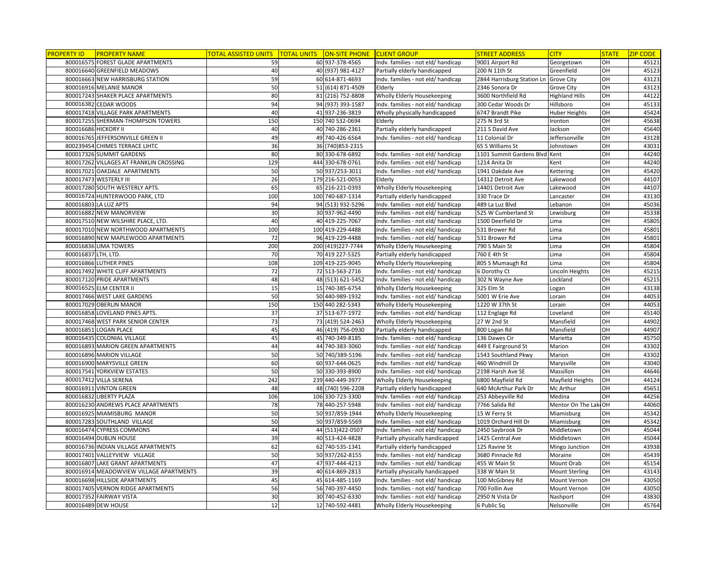| <b>PROPERTY ID</b>  | <b>PROPERTY NAME</b>                    | TOTAL ASSISTED UNITS | TOTAL UNITS ON-SITE PHONE CLIENT GROUP |                                    | <b>STREET ADDRESS</b>                 | <b>CITY</b>           | <b>STATE</b>     | <b>ZIP CODE</b> |
|---------------------|-----------------------------------------|----------------------|----------------------------------------|------------------------------------|---------------------------------------|-----------------------|------------------|-----------------|
|                     | 800016575 FOREST GLADE APARTMENTS       | 59                   | 60 937-378-4565                        | Indv. families - not eld/ handicap | 9001 Airport Rd                       | Georgetown            | OH               | 45121           |
|                     | 800016640 GREENFIELD MEADOWS            | 40                   | 40 (937) 981-4127                      | Partially elderly handicapped      | 200 N 11th St                         | Greenfield            | OH               | 45123           |
|                     | 800016663 NEW HARRISBURG STATION        | 59                   | 60 614-871-4693                        | Indv. families - not eld/ handicap | 2844 Harrisburg Station Ln Grove City |                       | OH               | 43123           |
|                     | 800016916 MELANIE MANOR                 | 50                   | 51 (614) 871-4509                      | Elderly                            | 2346 Sonora Dr                        | Grove City            | OH               | 43123           |
|                     | 800017243 SHAKER PLACE APARTMENTS       | 80                   | 81 (216) 752-8808                      | Wholly Elderly Housekeeping        | 3600 Northfield Rd                    | <b>Highland Hills</b> | OH               | 44122           |
|                     | 800016382 CEDAR WOODS                   | 94                   | 94 (937) 393-1587                      | Indv. families - not eld/ handicap | 300 Cedar Woods Dr                    | Hillsboro             | OH               | 45133           |
|                     | 800017418 VILLAGE PARK APARTMENTS       | 40                   | 41 937-236-3819                        | Wholly physically handicapped      | 6747 Brandt Pike                      | <b>Huber Heights</b>  | OH               | 45424           |
|                     | 800017255 SHERMAN-THOMPSON TOWERS       | 150                  | 150 740 532-0694                       | Elderly                            | 275 N 3rd St                          | Ironton               | OH               | 45638           |
|                     | 800016686 HICKORY II                    | 40                   | 40 740-286-2361                        | Partially elderly handicapped      | 211 S David Ave                       | Jackson               | OH               | 45640           |
|                     | 800016765 JEFFERSONVILLE GREEN II       | 49                   | 49 740-426-6564                        | Indv. families - not eld/ handicap | 11 Colonial Dr                        | Jeffersonville        | OH               | 43128           |
|                     | 800239454 CHIMES TERRACE LIHTC          | 36                   | 36 (740) 853-2315                      |                                    | 65 S Williams St                      | Johnstown             | OH               | 43031           |
|                     | 800017326 SUMMIT GARDENS                | 80                   | 80 330-678-6892                        | Indv. families - not eld/ handicap | 1101 Summit Gardens Blvd Kent         |                       | OH               | 44240           |
|                     | 800017262 VILLAGES AT FRANKLIN CROSSING | 129                  | 444 330-678-0761                       | Indv. families - not eld/ handicap | 1214 Anita Dr                         | Kent                  | OH               | 44240           |
|                     | 800017021 OAKDALE APARTMENTS            | 50                   | 50 937/253-3011                        | Indv. families - not eld/ handicap | 1941 Oakdale Ave                      | Kettering             | $\overline{O}$ H | 45420           |
|                     | 800017473 WESTERLY III                  | 26                   | 179 216-521-0053                       | Elderly                            | 14312 Detroit Ave                     | Lakewood              | OH               | 44107           |
|                     | 800017280 SOUTH WESTERLY APTS.          | 65                   | 65 216-221-0393                        | Wholly Elderly Housekeeping        | 14401 Detroit Ave                     | Lakewood              | OH               | 44107           |
|                     | 800016724 HUNTERWOOD PARK, LTD          | 100                  | 100 740-687-1314                       | Partially elderly handicapped      | 330 Trace Dr                          | Lancaster             | OH               | 43130           |
|                     | 800016803 LA LUZ APTS                   | 94                   | 94 (513) 932-5296                      | Indv. families - not eld/ handicap | 489 La Luz Blvd                       | Lebanon               | OH               | 45036           |
|                     | 800016882 NEW MANORVIEW                 | 30                   | 30 937-962-4490                        | Indv. families - not eld/ handicap | 525 W Cumberland St                   | Lewisburg             | OH               | 45338           |
|                     | 800017510 NEW WILSHIRE PLACE, LTD.      | 40                   | 40 419-225-7067                        | Indv. families - not eld/ handicap | 1500 Deerfield Dr                     | Lima                  | OH               | 45805           |
|                     | 800017010 NEW NORTHWOOD APARTMENTS      | 100                  | 100 419-229-4488                       | Indv. families - not eld/ handicap | 531 Brower Rd                         | Lima                  | OH               | 45801           |
|                     | 800016890 NEW MAPLEWOOD APARTMENTS      | 72                   | 96 419-229-4488                        | Indv. families - not eld/ handicap | 531 Brower Rd                         | Lima                  | OH               | 45801           |
|                     | 800016836 LIMA TOWERS                   | 200                  | 200 (419) 227-7744                     | Wholly Elderly Housekeeping        | 790 S Main St                         | Lima                  | OH               | 45804           |
| 800016837 LTH, LTD. |                                         | 70                   | 70 419 227-5325                        | Partially elderly handicapped      | 760 E 4th St                          | Lima                  | OH               | 45804           |
|                     | 800016866 LUTHER PINES                  | 108                  | 109 419-225-9045                       | Wholly Elderly Housekeeping        | 805 S Mumaugh Rd                      | Lima                  | OH               | 45804           |
|                     | 800017492 WHITE CLIFF APARTMENTS        | 72                   | 72 513-563-2716                        | Indv. families - not eld/ handicap | 6 Dorothy Ct                          | Lincoln Heights       | OH               | 45215           |
|                     | 800017120 PRIDE APARTMENTS              | 48                   | 48 (513) 621-5452                      | Indv. families - not eld/ handicap | 302 N Wayne Ave                       | Lockland              | $\overline{O}$ H | 45215           |
|                     | 800016525 ELM CENTER II                 | 15                   | 15 740-385-6754                        | Wholly Elderly Housekeeping        | 325 Elm St                            | Logan                 | OH               | 43138           |
|                     | 800017466 WEST LAKE GARDENS             | 50                   | 50 440-989-1932                        | Indv. families - not eld/ handicap | 5001 W Erie Ave                       | Lorain                | OH               | 44053           |
|                     | 800017029 OBERLIN MANOR                 | 150                  | 150 440 282-5343                       | Wholly Elderly Housekeeping        | 1220 W 37th St                        | Lorain                | OH               | 44053           |
|                     | 800016858 LOVELAND PINES APTS.          | 37                   | 37 513-677-1972                        | Indv. families - not eld/ handicap | 112 Englage Rd                        | Loveland              | OH               | 45140           |
|                     | 800017468 WEST PARK SENIOR CENTER       | 73                   | 73 (419) 524-2463                      | Wholly Elderly Housekeeping        | 27 W 2nd St                           | Mansfield             | OH               | 44902           |
|                     | 800016851 LOGAN PLACE                   | 45                   | 46 (419) 756-0930                      | Partially elderly handicapped      | 800 Logan Rd                          | Mansfield             | OH               | 44907           |
|                     | 800016435 COLONIAL VILLAGE              | 45                   | 45 740-349-8185                        | Indv. families - not eld/ handicap | 136 Dawes Cir                         | Marietta              | OH               | 45750           |
|                     | 800016893 MARION GREEN APARTMENTS       | 44                   | 44 740-383-3060                        | Indv. families - not eld/ handicap | 449 E Fairground St                   | Marion                | OH               | 43302           |
|                     | 800016896 MARION VILLAGE                | 50                   | 50 740/389-5196                        | Indv. families - not eld/ handicap | 1543 Southland Pkwy                   | Marion                | OH               | 43302           |
|                     | 800016900 MARYSVILLE GREEN              | 60                   | 60 937-644-0625                        | Indv. families - not eld/ handicap | 460 Windmill Dr                       | Marysville            | OH               | 43040           |
|                     | 800017541 YORKVIEW ESTATES              | 50                   | 50 330-393-8900                        | Indv. families - not eld/ handicap | 2198 Harsh Ave SE                     | Massillon             | OH               | 44646           |
|                     | 800017412 VILLA SERENA                  | 242                  | 239 440-449-3977                       | Wholly Elderly Housekeeping        | 6800 Mayfield Rd                      | Mayfield Heights      | OH               | 44124           |
|                     | 800016911 VINTON GREEN                  | 48                   | 48 (740) 596-2208                      | Partially elderly handicapped      | 640 McArthur Park Dr                  | Mc Arthur             | OH               | 45651           |
|                     | 800016832 LIBERTY PLAZA                 | 106                  | 106 330-723-3300                       | Indv. families - not eld/ handicap | 253 Abbeyville Rd                     | Medina                | OH               | 44256           |
|                     | 800016230 ANDREWS PLACE APARTMENTS      | 78                   | 78 440-257-5948                        | Indv. families - not eld/ handicap | 7766 Salida Rd                        | Mentor On The Lak     | <b>OH</b>        | 44060           |
|                     | 800016925 MIAMISBURG MANOR              | 50                   | 50 937/859-1944                        | Wholly Elderly Housekeeping        | 15 W Ferry St                         | Miamisburg            | OH               | 45342           |
|                     | 800017283 SOUTHLAND VILLAGE             | 50                   | 50 937/859-5569                        | Indv. families - not eld/ handicap | 1019 Orchard Hill Dr                  | Miamisburg            | OH               | 45342           |
|                     | 800016474 CYPRESS COMMONS               | 44                   | 44 (513) 422-0507                      | Indv. families - not eld/ handicap | 2450 Saybrook Dr                      | Middletown            | OH               | 45044           |
|                     | 800016494 DUBLIN HOUSE                  | 39                   | 40 513-424-4828                        | Partially physically handicapped   | 1425 Central Ave                      | Middletown            | OH               | 45044           |
|                     | 800016736 INDIAN VILLAGE APARTMENTS     | 62                   | 62 740-535-1341                        | Partially elderly handicapped      | 125 Ravine St                         | Mingo Junction        | OH               | 43938           |
|                     | 800017401 VALLEYVIEW VILLAGE            | 50                   | 50 937/262-8155                        | Indv. families - not eld/ handicap | 3680 Pinnacle Rd                      | Moraine               | OH               | 45439           |
|                     | 800016807 LAKE GRANT APARTMENTS         | 47                   | 47 937-444-4213                        | Indv. families - not eld/ handicap | 455 W Main St                         | Mount Orab            | OH               | 45154           |
|                     | 800016914 MEADOWVIEW VILLAGE APARTMENTS | 39                   | 40 614-869-2813                        | Partially physically handicapped   | 338 W Main St                         | <b>Mount Sterling</b> | OH               | 43143           |
|                     | 800016698 HILLSIDE APARTMENTS           | 45                   | 45 614-485-1169                        | Indv. families - not eld/ handicap | 100 McGibney Rd                       | Mount Vernon          | OH               | 43050           |
|                     | 800017405 VERNON RIDGE APARTMENTS       | 56                   | 56 740-397-4450                        | Indv. families - not eld/ handicap | 700 Follin Ave                        | Mount Vernon          | OH               | 43050           |
|                     | 800017352 FAIRWAY VISTA                 | 30                   | 30 740-452-6330                        | Indv. families - not eld/ handicap | 2950 N Vista Dr                       | Nashport              | OH               | 43830           |
|                     | 800016489 DEW HOUSE                     | 12                   | 12 740-592-4481                        | Wholly Elderly Housekeeping        | 6 Public Sq                           | Nelsonville           | OH               | 45764           |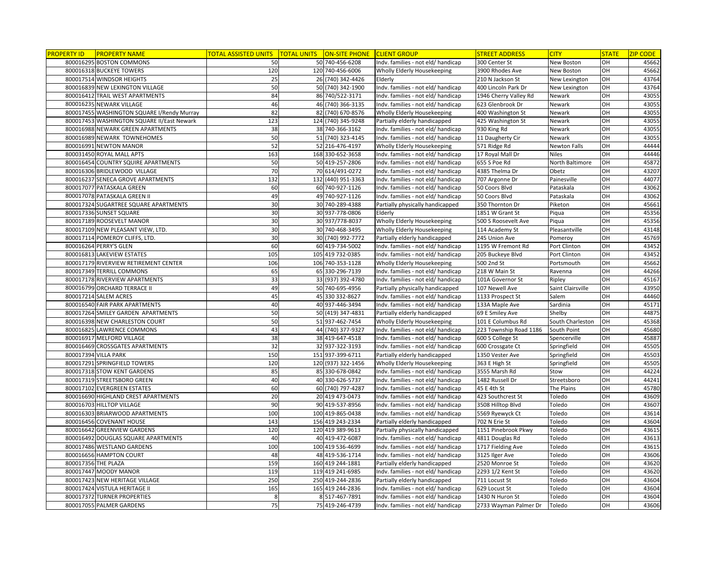| <b>PROPERTY ID</b>  | <b>PROPERTY NAME</b>                       | <u>TOTAL ASSISTED UNITS </u> | <b>TOTAL UNITS</b> | ON-SITE PHONE CLIENT GROUP |                                    | <b>STREET ADDRESS</b>  | <b>CITY</b>       | <b>STATE</b>     | <b>ZIP CODE</b> |
|---------------------|--------------------------------------------|------------------------------|--------------------|----------------------------|------------------------------------|------------------------|-------------------|------------------|-----------------|
|                     | 800016295 BOSTON COMMONS                   | 50                           |                    | 50 740-456-6208            | Indv. families - not eld/ handicap | 300 Center St          | New Boston        | OH               | 45662           |
|                     | 800016318 BUCKEYE TOWERS                   | 120                          |                    | 120 740-456-6006           | Wholly Elderly Housekeeping        | 3900 Rhodes Ave        | New Boston        | OH               | 45662           |
|                     | 800017514 WINDSOR HEIGHTS                  | 25                           |                    | 26 (740) 342-4426          | Elderly                            | 210 N Jackson St       | New Lexington     | OH               | 43764           |
|                     | 800016839 NEW LEXINGTON VILLAGE            | 50                           |                    | 50 (740) 342-1900          | Indv. families - not eld/ handicap | 400 Lincoln Park Dr    | New Lexington     | OH               | 43764           |
|                     | 800016412 TRAIL WEST APARTMENTS            | 84                           |                    | 86 740/522-3171            | Indv. families - not eld/ handicap | 1946 Cherry Valley Rd  | Newark            | OH               | 43055           |
|                     | 800016235 NEWARK VILLAGE                   | 46                           |                    | 46 (740) 366-3135          | Indv. families - not eld/ handicap | 623 Glenbrook Dr       | Newark            | OH               | 43055           |
|                     | 800017455 WASHINGTON SQUARE I/Rendy Murray | 82                           |                    | 82 (740) 670-8576          | Wholly Elderly Housekeeping        | 400 Washington St      | Newark            | OH               | 43055           |
|                     | 800017453 WASHINGTON SQUARE II/East Newark | 123                          |                    | 124 (740) 345-9248         | Partially elderly handicapped      | 425 Washington St      | Newark            | OН               | 43055           |
|                     | 800016988 NEWARK GREEN APARTMENTS          | 38                           |                    | 38 740-366-3162            | Indv. families - not eld/ handicap | 930 King Rd            | Newark            | OН               | 43055           |
|                     | 800016989 NEWARK TOWNEHOMES                | 50                           |                    | 51 (740) 323-4145          | Indv. families - not eld/ handicap | 11 Daugherty Cir       | Newark            | OH               | 43055           |
|                     | 800016991 NEWTON MANOR                     | 52                           |                    | 52 216-476-4197            | Wholly Elderly Housekeeping        | 571 Ridge Rd           | Newton Falls      |                  | 44444           |
|                     | 800031450 ROYAL MALL APTS                  | 163                          |                    | 168 330-652-3658           | Indv. families - not eld/ handicap | 17 Royal Mall Dr       | <b>Niles</b>      | OH               | 44446           |
|                     | 800016454 COUNTRY SQUIRE APARTMENTS        | 50                           |                    | 50 419-257-2806            | Indv. families - not eld/ handicap | 655 S Poe Rd           | North Baltimore   | OH               | 45872           |
|                     | 800016306 BRIDLEWOOD VILLAGE               | 70                           |                    | 70 614/491-0272            | Indv. families - not eld/ handicap | 4385 Thelma Dr         | Obetz             | OH               | 43207           |
|                     | 800016237 SENECA GROVE APARTMENTS          | 132                          |                    | 132 (440) 951-3363         | Indv. families - not eld/ handicap | 707 Argonne Dr         | Painesville       | OН               | 44077           |
|                     | 800017077 PATASKALA GREEN                  | 60                           |                    | 60 740-927-1126            | Indv. families - not eld/ handicap | 50 Coors Blvd          | Pataskala         | OH               | 43062           |
|                     | 800017078 PATASKALA GREEN II               | 49                           |                    | 49 740-927-1126            | Indv. families - not eld/ handicap | 50 Coors Blvd          | Pataskala         | OH               | 43062           |
|                     | 800017324 SUGARTREE SQUARE APARTMENTS      | 30                           |                    | 30 740-289-4388            | Partially physically handicapped   | 350 Thornton Dr        | Piketon           | OH               | 45661           |
|                     | 800017336 SUNSET SQUARE                    | 30                           |                    | 30 937-778-0806            | Elderly                            | 1851 W Grant St        | Piqua             | OH               | 45356           |
|                     | 800017189 ROOSEVELT MANOR                  | 30                           |                    | 30 937/778-8037            | Wholly Elderly Housekeeping        | 500 S Roosevelt Ave    | Piqua             | OH               | 45356           |
|                     | 800017109 NEW PLEASANT VIEW, LTD.          | 30                           |                    | 30 740-468-3495            | Wholly Elderly Housekeeping        | 114 Academy St         | Pleasantville     | OH               | 43148           |
|                     | 800017114 POMEROY CLIFFS, LTD.             | 30                           |                    | 30 (740) 992-7772          | Partially elderly handicapped      | 245 Union Ave          | Pomeroy           | OH               | 45769           |
|                     | 800016264 PERRY'S GLEN                     | 60                           |                    | 60 419-734-5002            | Indv. families - not eld/ handicap | 1195 W Fremont Rd      | Port Clinton      | OH               | 43452           |
|                     | 800016813 LAKEVIEW ESTATES                 | 105                          |                    | 105 419 732-0385           | Indv. families - not eld/ handicap | 205 Buckeye Blvd       | Port Clinton      | OH               | 43452           |
|                     | 800017179 RIVERVIEW RETIREMENT CENTER      | 106                          |                    | 106 740-353-1128           | Wholly Elderly Housekeeping        | 500 2nd St             | Portsmouth        | OH               | 45662           |
|                     | 800017349 TERRILL COMMONS                  | 65                           |                    | 65 330-296-7139            | Indv. families - not eld/ handicap | 218 W Main St          | Ravenna           | OH               | 44266           |
|                     | 800017178 RIVERVIEW APARTMENTS             | 33                           |                    | 33 (937) 392-4780          | Indv. families - not eld/ handicap | 101A Governor St       | Ripley            | $\overline{O}$ H | 45167           |
|                     | 800016799 ORCHARD TERRACE II               | 49                           |                    | 50 740-695-4956            | Partially physically handicapped   | 107 Newell Ave         | Saint Clairsville | OH               | 43950           |
|                     | 800017214 SALEM ACRES                      | 45                           |                    | 45 330 332-8627            | Indv. families - not eld/ handicap | 1133 Prospect St       | Salem             | OH               | 44460           |
|                     | 800016540 FAIR PARK APARTMENTS             | 40                           |                    | 40 937-446-3494            | Indv. families - not eld/ handicap | 133A Maple Ave         | Sardinia          | OH               | 45171           |
|                     | 800017264 SMILEY GARDEN APARTMENTS         | 50                           |                    | 50 (419) 347-4831          | Partially elderly handicapped      | 69 E Smiley Ave        | Shelby            | OH               | 44875           |
|                     | 800016398 NEW CHARLESTON COURT             | 50                           |                    | 51 937-462-7454            | Wholly Elderly Housekeeping        | 101 E Columbus Rd      | South Charleston  | OН               | 45368           |
|                     | 800016825 LAWRENCE COMMONS                 | 43                           |                    | 44 (740) 377-9327          | Indv. families - not eld/ handicap | 223 Township Road 1186 | South Point       | OH               | 45680           |
|                     | 800016917 MELFORD VILLAGE                  | 38                           |                    | 38 419-647-4518            | Indv. families - not eld/ handicap | 600 S College St       | Spencerville      | OН               | 45887           |
|                     | 800016469 CROSSGATES APARTMENTS            | 32                           |                    | 32 937-322-3193            | Indv. families - not eld/ handicap | 600 Crossgate Ct       | Springfield       | OH               | 45505           |
|                     | 800017394 VILLA PARK                       | 150                          |                    | 151 937-399-6711           | Partially elderly handicapped      | 1350 Vester Ave        | Springfield       |                  | 45503           |
|                     | 800017291 SPRINGFIELD TOWERS               | 120                          |                    | 120 (937) 322-1456         | Wholly Elderly Housekeeping        | 363 E High St          | Springfield       | OH               | 45505           |
|                     | 800017318 STOW KENT GARDENS                | 85                           |                    | 85 330-678-0842            | Indv. families - not eld/ handicap | 3555 Marsh Rd          | Stow              | OH               | 44224           |
|                     | 800017319 STREETSBORO GREEN                | 40                           |                    | 40 330-626-5737            | Indv. families - not eld/ handicap | 1482 Russell Dr        | Streetsboro       | OH               | 44241           |
|                     | 800017102 EVERGREEN ESTATES                | 60                           |                    | 60 (740) 797-4287          | Indv. families - not eld/ handicap | 45 E 4th St            | The Plains        | OH               | 45780           |
|                     | 800016690 HIGHLAND CREST APARTMENTS        | 20                           |                    | 20 419 473-0473            | Indv. families - not eld/ handicap | 423 Southcrest St      | Toledo            | OH               | 43609           |
|                     | 800016703 HILLTOP VILLAGE                  | 90                           |                    | 90 419-537-8956            | Indv. families - not eld/ handicap | 3508 Hilltop Blvd      | Toledo            | OH               | 43607           |
|                     | 800016303 BRIARWOOD APARTMENTS             | 100                          |                    | 100 419-865-0438           | Indv. families - not eld/ handicap | 5569 Ryewyck Ct        | Toledo            | OH               | 43614           |
|                     | 800016456 COVENANT HOUSE                   | 143                          |                    | 156 419 243-2334           | Partially elderly handicapped      | 702 N Erie St          | Toledo            | OH               | 43604           |
|                     | 800016642 GREENVIEW GARDENS                | 120                          |                    | 120 419 389-9613           | Partially physically handicapped   | 1151 Pinebrook Pkwy    | Toledo            | OH               | 43615           |
|                     | 800016492 DOUGLAS SQUARE APARTMENTS        | 40                           |                    | 40 419-472-6087            | Indv. families - not eld/ handicap | 4811 Douglas Rd        | Toledo            | OH               | 43613           |
|                     | 800017486 WESTLAND GARDENS                 | 100                          |                    | 100 419 536-4699           | Indv. families - not eld/ handicap | 1717 Fielding Ave      | Toledo            | OH               | 43615           |
|                     | 800016656 HAMPTON COURT                    | 48                           |                    | 48 419-536-1714            | Indv. families - not eld/ handicap | 3125 Ilger Ave         | Toledo            | OH               | 43606           |
| 800017356 THE PLAZA |                                            | 159                          |                    | 160 419 244-1881           | Partially elderly handicapped      | 2520 Monroe St         | Toledo            | OH               | 43620           |
|                     | 800017447 MOODY MANOR                      | 119                          |                    | 119 419 241-6985           | Indv. families - not eld/ handicap | 2293 1/2 Kent St       | Toledo            | OH               | 43620           |
|                     | 800017423 NEW HERITAGE VILLAGE             | 250                          |                    | 250 419-244-2836           | Partially elderly handicapped      | 711 Locust St          | Toledo            | OH               | 43604           |
|                     | 800017424 VISTULA HERITAGE II              | 165                          |                    | 165 419 244-2836           | Indv. families - not eld/ handicap | 629 Locust St          | Toledo            | OH               | 43604           |
|                     | 800017372 TURNER PROPERTIES                | 8                            |                    | 8 517-467-7891             | Indv. families - not eld/ handicap | 1430 N Huron St        | Toledo            | OH               | 43604           |
|                     | 800017055 PALMER GARDENS                   | 75                           |                    | 75 419-246-4739            | Indv. families - not eld/ handicap | 2733 Wayman Palmer Dr  | Toledo            | OH               | 43606           |